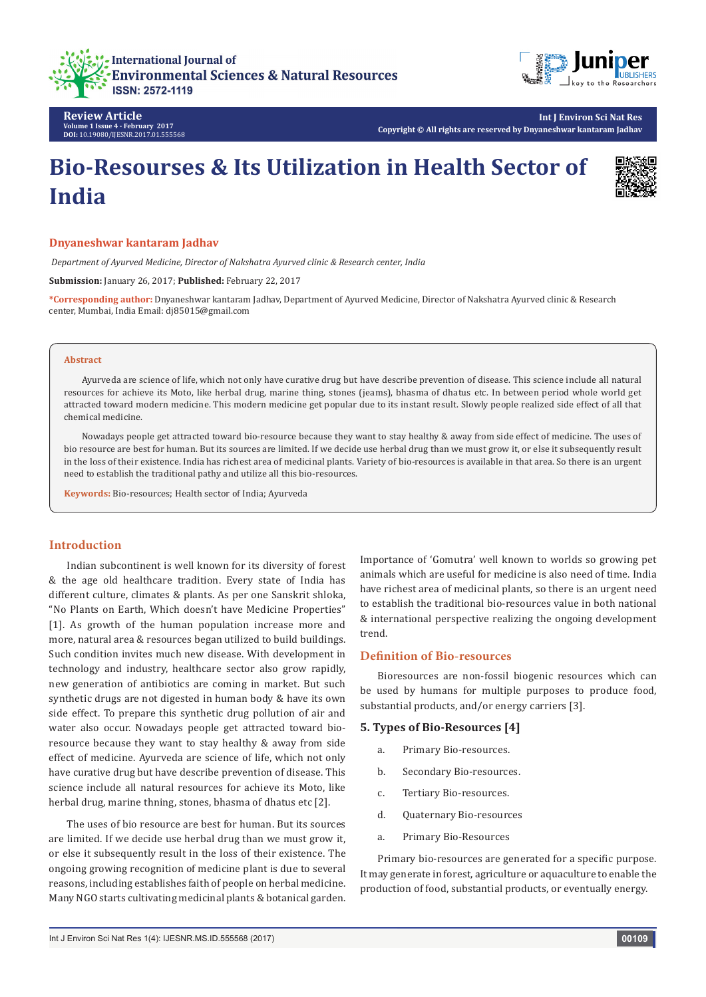



**Review Article Volume 1 Issue 4 - February 2017 DOI:** [10.19080/IJESNR.2017.01.555568](http://dx.doi.org/10.19080/IJESNR.2017.01.555568
)

**Int J Environ Sci Nat Res Copyright © All rights are reserved by Dnyaneshwar kantaram Jadhav**

# **Bio-Resourses & Its Utilization in Health Sector of India**



#### **Dnyaneshwar kantaram Jadhav**

 *Department of Ayurved Medicine, Director of Nakshatra Ayurved clinic & Research center, India*

**Submission:** January 26, 2017; **Published:** February 22, 2017

**\*Corresponding author:** Dnyaneshwar kantaram Jadhav, Department of Ayurved Medicine, Director of Nakshatra Ayurved clinic & Research center, Mumbai, India Email: dj85015@gmail.com

#### **Abstract**

Ayurveda are science of life, which not only have curative drug but have describe prevention of disease. This science include all natural resources for achieve its Moto, like herbal drug, marine thing, stones (jeams), bhasma of dhatus etc. In between period whole world get attracted toward modern medicine. This modern medicine get popular due to its instant result. Slowly people realized side effect of all that chemical medicine.

Nowadays people get attracted toward bio-resource because they want to stay healthy & away from side effect of medicine. The uses of bio resource are best for human. But its sources are limited. If we decide use herbal drug than we must grow it, or else it subsequently result in the loss of their existence. India has richest area of medicinal plants. Variety of bio-resources is available in that area. So there is an urgent need to establish the traditional pathy and utilize all this bio-resources.

**Keywords:** Bio-resources; Health sector of India; Ayurveda

# **Introduction**

Indian subcontinent is well known for its diversity of forest & the age old healthcare tradition. Every state of India has different culture, climates & plants. As per one Sanskrit shloka, "No Plants on Earth, Which doesn't have Medicine Properties" [1]. As growth of the human population increase more and more, natural area & resources began utilized to build buildings. Such condition invites much new disease. With development in technology and industry, healthcare sector also grow rapidly, new generation of antibiotics are coming in market. But such synthetic drugs are not digested in human body & have its own side effect. To prepare this synthetic drug pollution of air and water also occur. Nowadays people get attracted toward bioresource because they want to stay healthy & away from side effect of medicine. Ayurveda are science of life, which not only have curative drug but have describe prevention of disease. This science include all natural resources for achieve its Moto, like herbal drug, marine thning, stones, bhasma of dhatus etc [2].

The uses of bio resource are best for human. But its sources are limited. If we decide use herbal drug than we must grow it, or else it subsequently result in the loss of their existence. The ongoing growing recognition of medicine plant is due to several reasons, including establishes faith of people on herbal medicine. Many NGO starts cultivating medicinal plants & botanical garden. Importance of 'Gomutra' well known to worlds so growing pet animals which are useful for medicine is also need of time. India have richest area of medicinal plants, so there is an urgent need to establish the traditional bio-resources value in both national & international perspective realizing the ongoing development trend.

### **Definition of Bio-resources**

Bioresources are non-fossil biogenic resources which can be used by humans for multiple purposes to produce food, substantial products, and/or energy carriers [3].

#### **5. Types of Bio-Resources [4]**

- a. Primary Bio-resources.
- b. Secondary Bio-resources.
- c. Tertiary Bio-resources.
- d. Quaternary Bio-resources
- a. Primary Bio-Resources

Primary bio-resources are generated for a specific purpose. It may generate in forest, agriculture or aquaculture to enable the production of food, substantial products, or eventually energy.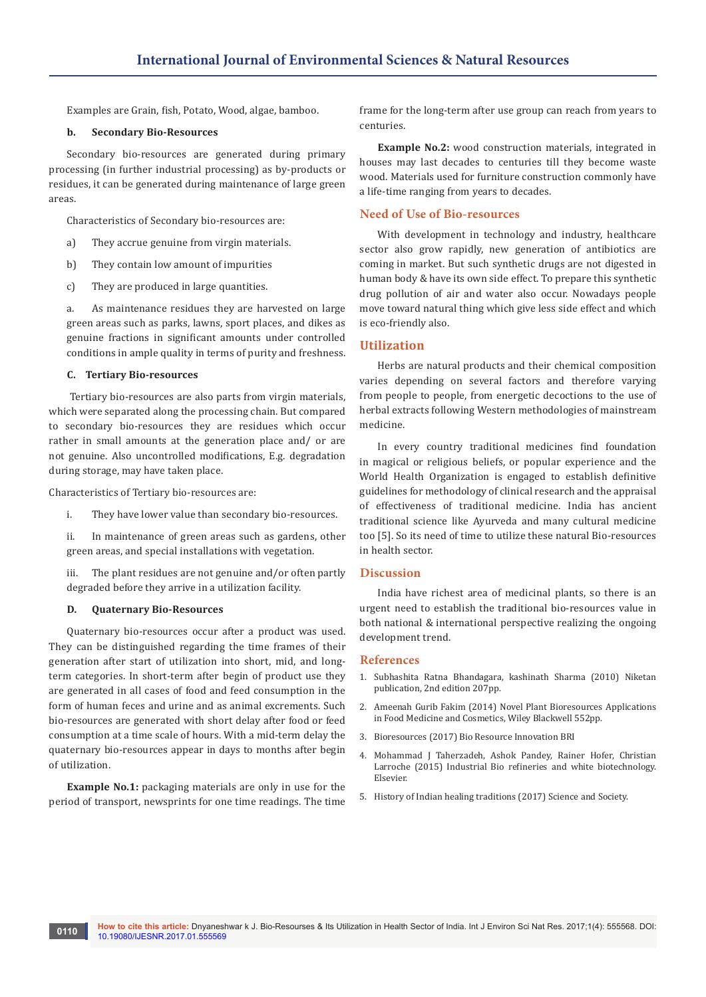Examples are Grain, fish, Potato, Wood, algae, bamboo.

#### **b. Secondary Bio-Resources**

Secondary bio-resources are generated during primary processing (in further industrial processing) as by-products or residues, it can be generated during maintenance of large green areas.

Characteristics of Secondary bio-resources are:

- a) They accrue genuine from virgin materials.
- b) They contain low amount of impurities
- c) They are produced in large quantities.

a. As maintenance residues they are harvested on large green areas such as parks, lawns, sport places, and dikes as genuine fractions in significant amounts under controlled conditions in ample quality in terms of purity and freshness.

#### **C. Tertiary Bio-resources**

 Tertiary bio-resources are also parts from virgin materials, which were separated along the processing chain. But compared to secondary bio-resources they are residues which occur rather in small amounts at the generation place and/ or are not genuine. Also uncontrolled modifications, E.g. degradation during storage, may have taken place.

Characteristics of Tertiary bio-resources are:

i. They have lower value than secondary bio-resources.

ii. In maintenance of green areas such as gardens, other green areas, and special installations with vegetation.

iii. The plant residues are not genuine and/or often partly degraded before they arrive in a utilization facility.

#### **D. Quaternary Bio-Resources**

Quaternary bio-resources occur after a product was used. They can be distinguished regarding the time frames of their generation after start of utilization into short, mid, and longterm categories. In short-term after begin of product use they are generated in all cases of food and feed consumption in the form of human feces and urine and as animal excrements. Such bio-resources are generated with short delay after food or feed consumption at a time scale of hours. With a mid-term delay the quaternary bio-resources appear in days to months after begin of utilization.

**Example No.1:** packaging materials are only in use for the period of transport, newsprints for one time readings. The time frame for the long-term after use group can reach from years to centuries.

**Example No.2:** wood construction materials, integrated in houses may last decades to centuries till they become waste wood. Materials used for furniture construction commonly have a life-time ranging from years to decades.

# **Need of Use of Bio-resources**

With development in technology and industry, healthcare sector also grow rapidly, new generation of antibiotics are coming in market. But such synthetic drugs are not digested in human body & have its own side effect. To prepare this synthetic drug pollution of air and water also occur. Nowadays people move toward natural thing which give less side effect and which is eco-friendly also.

## **Utilization**

Herbs are natural products and their chemical composition varies depending on several factors and therefore varying from people to people, from energetic decoctions to the use of herbal extracts following Western methodologies of mainstream medicine.

In every country traditional medicines find foundation in magical or religious beliefs, or popular experience and the World Health Organization is engaged to establish definitive guidelines for methodology of clinical research and the appraisal of effectiveness of traditional medicine. India has ancient traditional science like Ayurveda and many cultural medicine too [5]. So its need of time to utilize these natural Bio-resources in health sector.

#### **Discussion**

India have richest area of medicinal plants, so there is an urgent need to establish the traditional bio-resources value in both national & international perspective realizing the ongoing development trend.

#### **References**

- 1. [Subhashita Ratna Bhandagara, kashinath Sharma \(2010\) Niketan](http://www.sanskritebooks.org/2009/04/subhashita-ratna-bhandagara-kashinath-sharma/)  [publication, 2nd edition 207pp.](http://www.sanskritebooks.org/2009/04/subhashita-ratna-bhandagara-kashinath-sharma/)
- 2. [Ameenah Gurib Fakim \(2014\) Novel Plant Bioresources Applications](http://as.wiley.com/WileyCDA/WileyTitle/productCd-1118460618.html)  [in Food Medicine and Cosmetics, Wiley Blackwell 552pp.](http://as.wiley.com/WileyCDA/WileyTitle/productCd-1118460618.html)
- 3. [Bioresources \(2017\) Bio Resource Innovation BRI](http://www.bioresource.eu/bioresources/)
- 4. [Mohammad J Taherzadeh, Ashok Pandey, Rainer Hofer, Christian](https://www.researchgate.net/publication/276205714_Industrial_Biorefineries_White_Biotechnology)  [Larroche \(2015\) Industrial Bio refineries and white biotechnology.](https://www.researchgate.net/publication/276205714_Industrial_Biorefineries_White_Biotechnology)  [Elsevier.](https://www.researchgate.net/publication/276205714_Industrial_Biorefineries_White_Biotechnology)
- 5. [History of Indian healing traditions \(2017\) Science and Society.](https://www.ncbs.res.in/HistoryScienceSociety/IndianHealingTraditions)